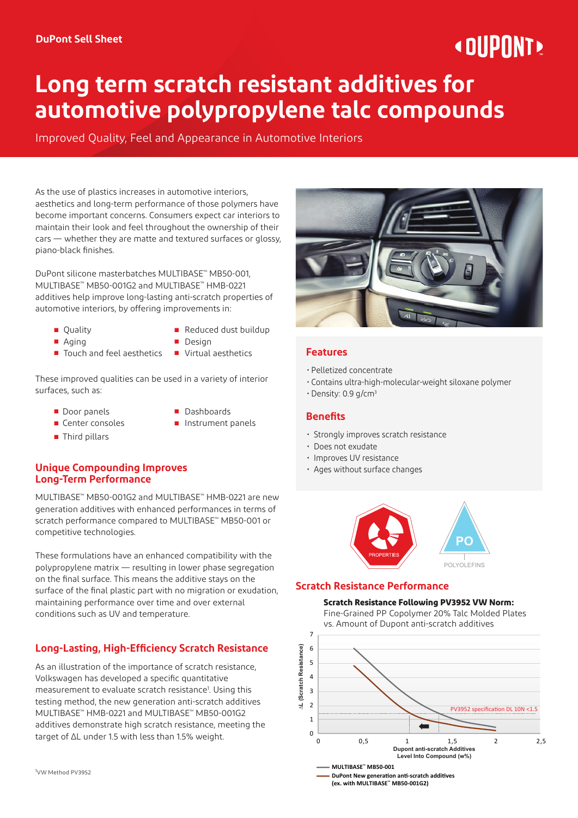# « DIIPNNT»

# **Long term scratch resistant additives for automotive polypropylene talc compounds**

Improved Quality, Feel and Appearance in Automotive Interiors

As the use of plastics increases in automotive interiors, aesthetics and long-term performance of those polymers have become important concerns. Consumers expect car interiors to maintain their look and feel throughout the ownership of their cars — whether they are matte and textured surfaces or glossy, piano-black finishes.

DuPont silicone masterbatches MULTIBASE™ MB50-001, MULTIBASE™ MB50-001G2 and MULTIBASE™ HMB-0221 additives help improve long-lasting anti-scratch properties of automotive interiors, by offering improvements in:

- 
- Quality Reduced dust buildup
- 
- Aging Design
- Touch and feel aesthetics Virtual aesthetics
- These improved qualities can be used in a variety of interior surfaces, such as:
	- Door panels Dashboards
		-
	-
- 
- 
- 
- 
- Center consoles Instrument panels
- Third pillars
- **Unique Compounding Improves Long-Term Performance**

MULTIBASE™ MB50-001G2 and MULTIBASE™ HMB-0221 are new generation additives with enhanced performances in terms of scratch performance compared to MULTIBASE™ MB50-001 or competitive technologies.

These formulations have an enhanced compatibility with the polypropylene matrix — resulting in lower phase segregation on the final surface. This means the additive stays on the surface of the final plastic part with no migration or exudation, maintaining performance over time and over external conditions such as UV and temperature.

## **Long-Lasting, High-Efficiency Scratch Resistance**

As an illustration of the importance of scratch resistance, Volkswagen has developed a specific quantitative measurement to evaluate scratch resistance<sup>1</sup>. Using this testing method, the new generation anti-scratch additives MULTIBASE™ HMB-0221 and MULTIBASE™ MB50-001G2 additives demonstrate high scratch resistance, meeting the target of ΔL under 1.5 with less than 1.5% weight.



#### **Features**

- Pelletized concentrate
- Contains ultra-high-molecular-weight siloxane polymer
- $\cdot$  Density: 0.9 g/cm<sup>3</sup>

#### **Benefits**

- Strongly improves scratch resistance
- Does not exudate
- Improves UV resistance
- Ages without surface changes



#### **Scratch Resistance Performance**

#### **Scratch Resistance Following PV3952 VW Norm: Scratch Resistance Following PV3952 VW Norm:**

Fine-Grained PP Copolymer 20% Talc Molded Plates **Fine-Grained PP Copolymer 20% Talc Molded** vs. Amount of Dupont anti-scratch additives **Plates vs. Amount of Dupont anti-scratch additive**



**DuPont New generation anti-scratch additives (ex. with MULTIBASE™ MB50-001G2)**